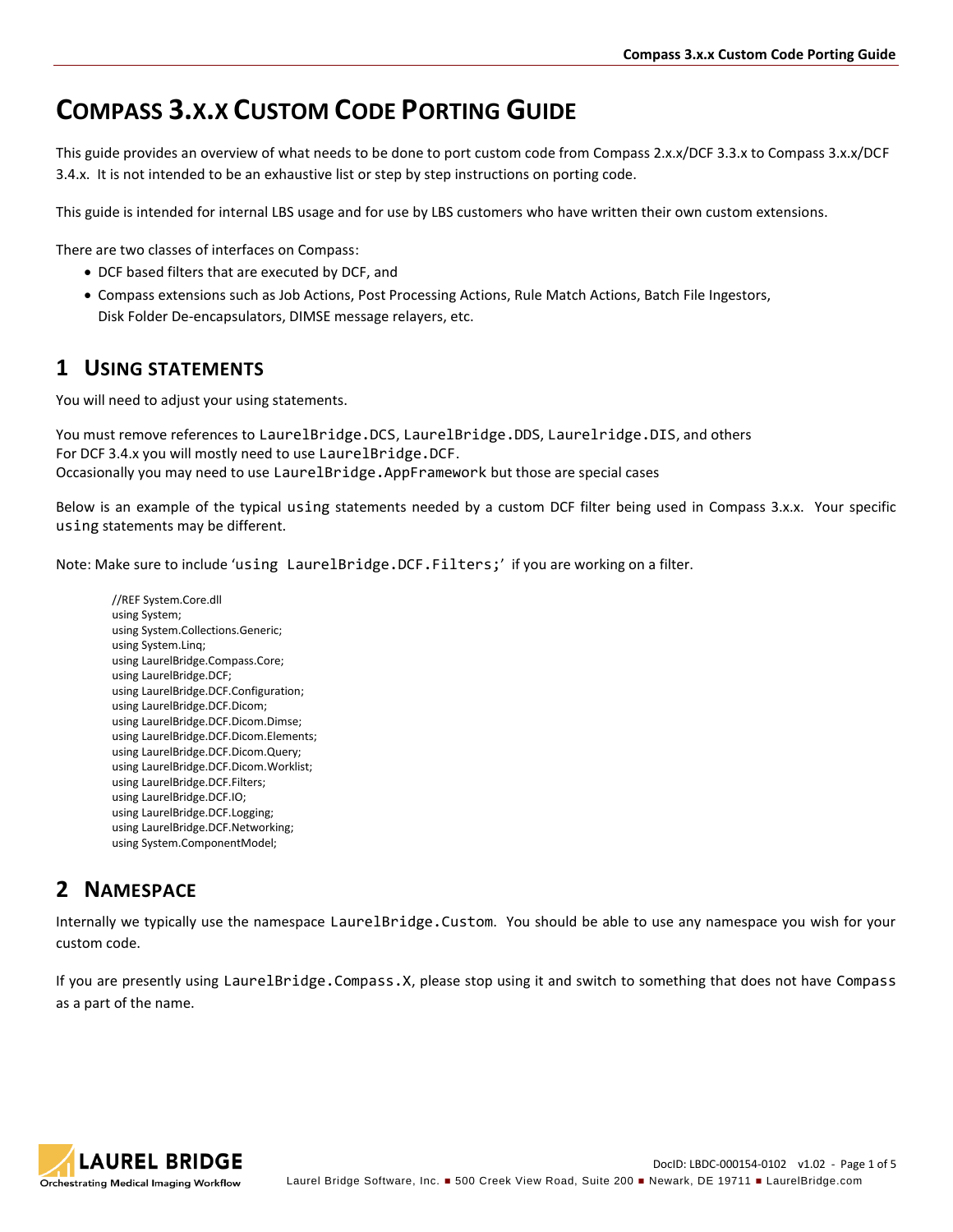# **COMPASS 3.X.X CUSTOM CODE PORTING GUIDE**

This guide provides an overview of what needs to be done to port custom code from Compass 2.x.x/DCF 3.3.x to Compass 3.x.x/DCF 3.4.x. It is not intended to be an exhaustive list or step by step instructions on porting code.

This guide is intended for internal LBS usage and for use by LBS customers who have written their own custom extensions.

There are two classes of interfaces on Compass:

- DCF based filters that are executed by DCF, and
- Compass extensions such as Job Actions, Post Processing Actions, Rule Match Actions, Batch File Ingestors, Disk Folder De-encapsulators, DIMSE message relayers, etc.

### **1 USING STATEMENTS**

You will need to adjust your using statements.

You must remove references to LaurelBridge.DCS, LaurelBridge.DDS, Laurelridge.DIS, and others For DCF 3.4.x you will mostly need to use LaurelBridge.DCF. Occasionally you may need to use LaurelBridge.AppFramework but those are special cases

Below is an example of the typical using statements needed by a custom DCF filter being used in Compass 3.x.x. Your specific using statements may be different.

Note: Make sure to include 'using LaurelBridge.DCF.Filters;' if you are working on a filter.

//REF System.Core.dll using System; using System.Collections.Generic; using System.Linq; using LaurelBridge.Compass.Core; using LaurelBridge.DCF; using LaurelBridge.DCF.Configuration; using LaurelBridge.DCF.Dicom; using LaurelBridge.DCF.Dicom.Dimse; using LaurelBridge.DCF.Dicom.Elements; using LaurelBridge.DCF.Dicom.Query; using LaurelBridge.DCF.Dicom.Worklist; using LaurelBridge.DCF.Filters; using LaurelBridge.DCF.IO; using LaurelBridge.DCF.Logging; using LaurelBridge.DCF.Networking; using System.ComponentModel;

### **2 NAMESPACE**

Internally we typically use the namespace LaurelBridge.Custom. You should be able to use any namespace you wish for your custom code.

If you are presently using LaurelBridge.Compass.X, please stop using it and switch to something that does not have Compass as a part of the name.

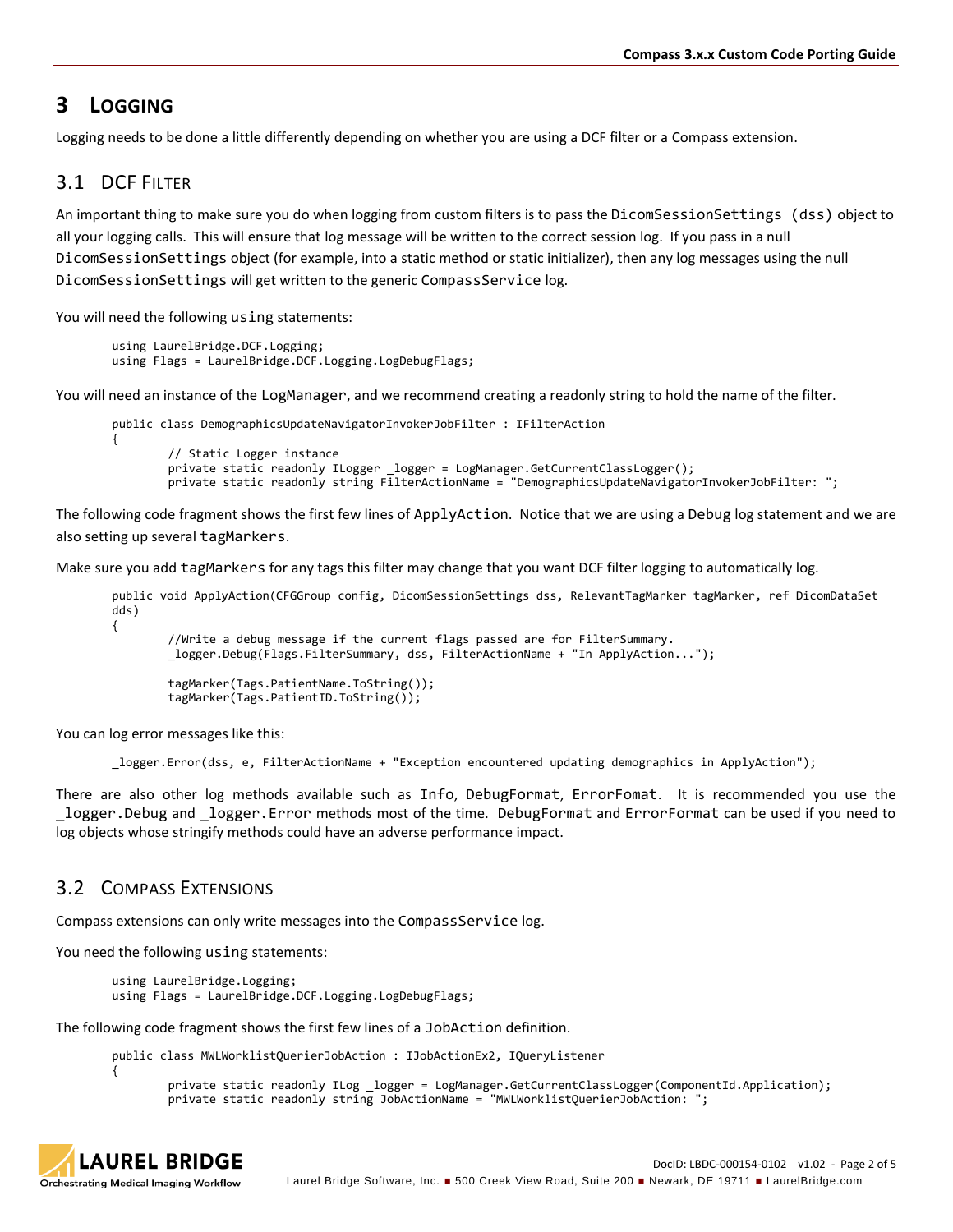## **3 LOGGING**

Logging needs to be done a little differently depending on whether you are using a DCF filter or a Compass extension.

### 3.1 DCF FILTER

An important thing to make sure you do when logging from custom filters is to pass the DicomSessionSettings (dss) object to all your logging calls. This will ensure that log message will be written to the correct session log. If you pass in a null DicomSessionSettings object (for example, into a static method or static initializer), then any log messages using the null DicomSessionSettings will get written to the generic CompassService log.

You will need the following using statements:

```
using LaurelBridge.DCF.Logging;
using Flags = LaurelBridge.DCF.Logging.LogDebugFlags;
```
You will need an instance of the LogManager, and we recommend creating a readonly string to hold the name of the filter.

```
public class DemographicsUpdateNavigatorInvokerJobFilter : IFilterAction
{
        // Static Logger instance
        private static readonly ILogger _logger = LogManager.GetCurrentClassLogger();
        private static readonly string FilterActionName = "DemographicsUpdateNavigatorInvokerJobFilter: ";
```
The following code fragment shows the first few lines of ApplyAction. Notice that we are using a Debug log statement and we are also setting up several tagMarkers.

Make sure you add tagMarkers for any tags this filter may change that you want DCF filter logging to automatically log.

```
public void ApplyAction(CFGGroup config, DicomSessionSettings dss, RelevantTagMarker tagMarker, ref DicomDataSet 
dds)
{
        //Write a debug message if the current flags passed are for FilterSummary.
        _logger.Debug(Flags.FilterSummary, dss, FilterActionName + "In ApplyAction...");
        tagMarker(Tags.PatientName.ToString());
        tagMarker(Tags.PatientID.ToString());
```
You can log error messages like this:

\_logger.Error(dss, e, FilterActionName + "Exception encountered updating demographics in ApplyAction");

There are also other log methods available such as Info, DebugFormat, ErrorFomat. It is recommended you use the logger. Debug and logger. Error methods most of the time. DebugFormat and ErrorFormat can be used if you need to log objects whose stringify methods could have an adverse performance impact.

#### 3.2 COMPASS EXTENSIONS

Compass extensions can only write messages into the CompassService log.

You need the following using statements:

using LaurelBridge.Logging; using Flags = LaurelBridge.DCF.Logging.LogDebugFlags;

The following code fragment shows the first few lines of a JobAction definition.

public class MWLWorklistQuerierJobAction : IJobActionEx2, IQueryListener

```
private static readonly ILog _logger = LogManager.GetCurrentClassLogger(ComponentId.Application);
private static readonly string JobActionName = "MWLWorklistQuerierJobAction: ";
```


{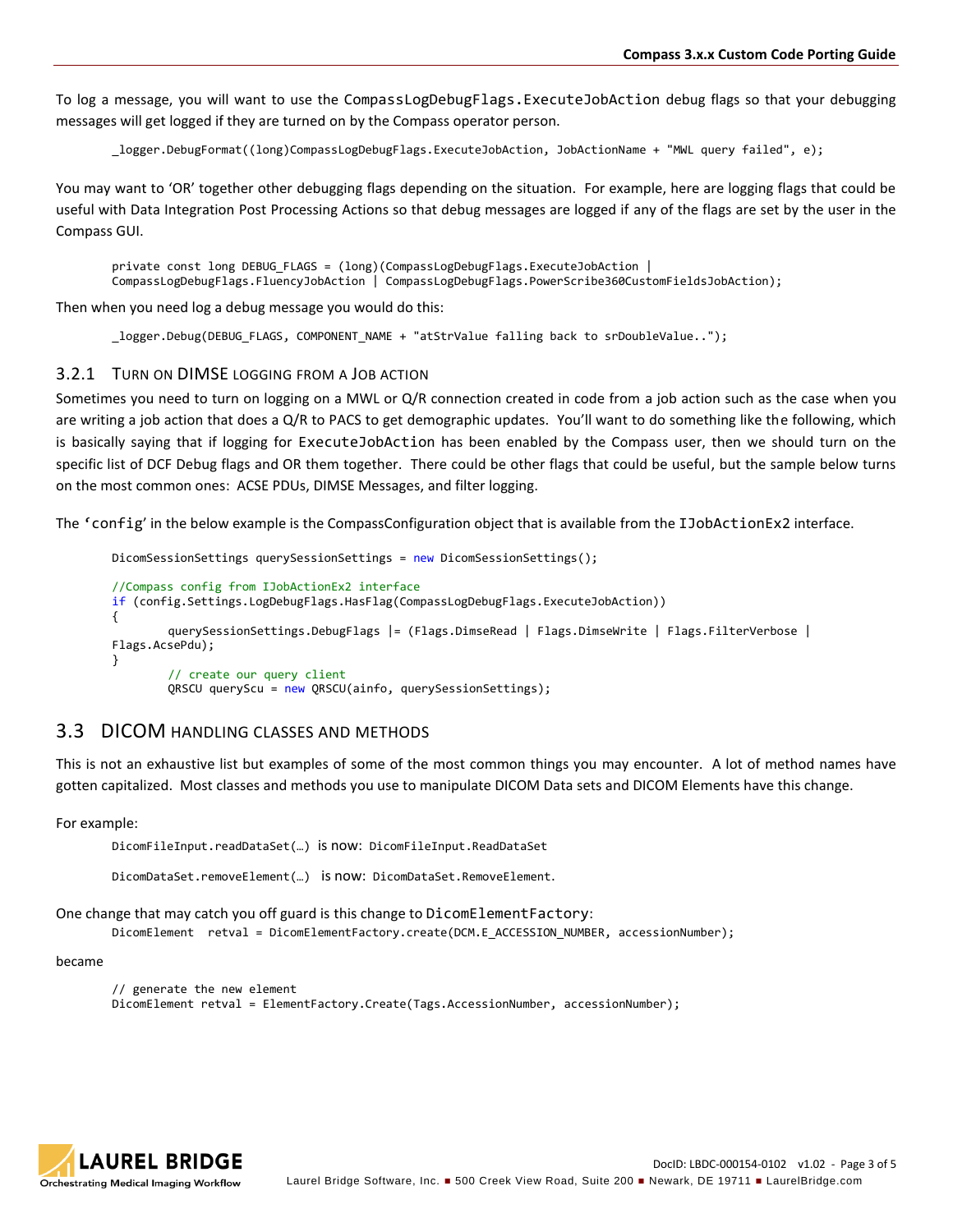To log a message, you will want to use the CompassLogDebugFlags.ExecuteJobAction debug flags so that your debugging messages will get logged if they are turned on by the Compass operator person.

\_logger.DebugFormat((long)CompassLogDebugFlags.ExecuteJobAction, JobActionName + "MWL query failed", e);

You may want to 'OR' together other debugging flags depending on the situation. For example, here are logging flags that could be useful with Data Integration Post Processing Actions so that debug messages are logged if any of the flags are set by the user in the Compass GUI.

private const long DEBUG\_FLAGS = (long)(CompassLogDebugFlags.ExecuteJobAction | CompassLogDebugFlags.FluencyJobAction | CompassLogDebugFlags.PowerScribe360CustomFieldsJobAction);

Then when you need log a debug message you would do this:

\_logger.Debug(DEBUG\_FLAGS, COMPONENT\_NAME + "atStrValue falling back to srDoubleValue..");

#### 3.2.1 TURN ON DIMSE LOGGING FROM A JOB ACTION

Sometimes you need to turn on logging on a MWL or Q/R connection created in code from a job action such as the case when you are writing a job action that does a Q/R to PACS to get demographic updates. You'll want to do something like the following, which is basically saying that if logging for ExecuteJobAction has been enabled by the Compass user, then we should turn on the specific list of DCF Debug flags and OR them together. There could be other flags that could be useful, but the sample below turns on the most common ones: ACSE PDUs, DIMSE Messages, and filter logging.

The 'config' in the below example is the CompassConfiguration object that is available from the IJobActionEx2 interface.

```
DicomSessionSettings querySessionSettings = new DicomSessionSettings();
//Compass config from IJobActionEx2 interface
if (config.Settings.LogDebugFlags.HasFlag(CompassLogDebugFlags.ExecuteJobAction))
{
        querySessionSettings.DebugFlags |= (Flags.DimseRead | Flags.DimseWrite | Flags.FilterVerbose | 
Flags.AcsePdu);
}
        // create our query client
        QRSCU queryScu = new QRSCU(ainfo, querySessionSettings);
```
#### 3.3 DICOM HANDLING CLASSES AND METHODS

This is not an exhaustive list but examples of some of the most common things you may encounter. A lot of method names have gotten capitalized. Most classes and methods you use to manipulate DICOM Data sets and DICOM Elements have this change.

For example:

DicomFileInput.readDataSet(…) is now: DicomFileInput.ReadDataSet

DicomDataSet.removeElement(…) is now: DicomDataSet.RemoveElement.

One change that may catch you off guard is this change to DicomElementFactory:

DicomElement retval = DicomElementFactory.create(DCM.E\_ACCESSION\_NUMBER, accessionNumber);

#### became

```
// generate the new element
DicomElement retval = ElementFactory.Create(Tags.AccessionNumber, accessionNumber);
```
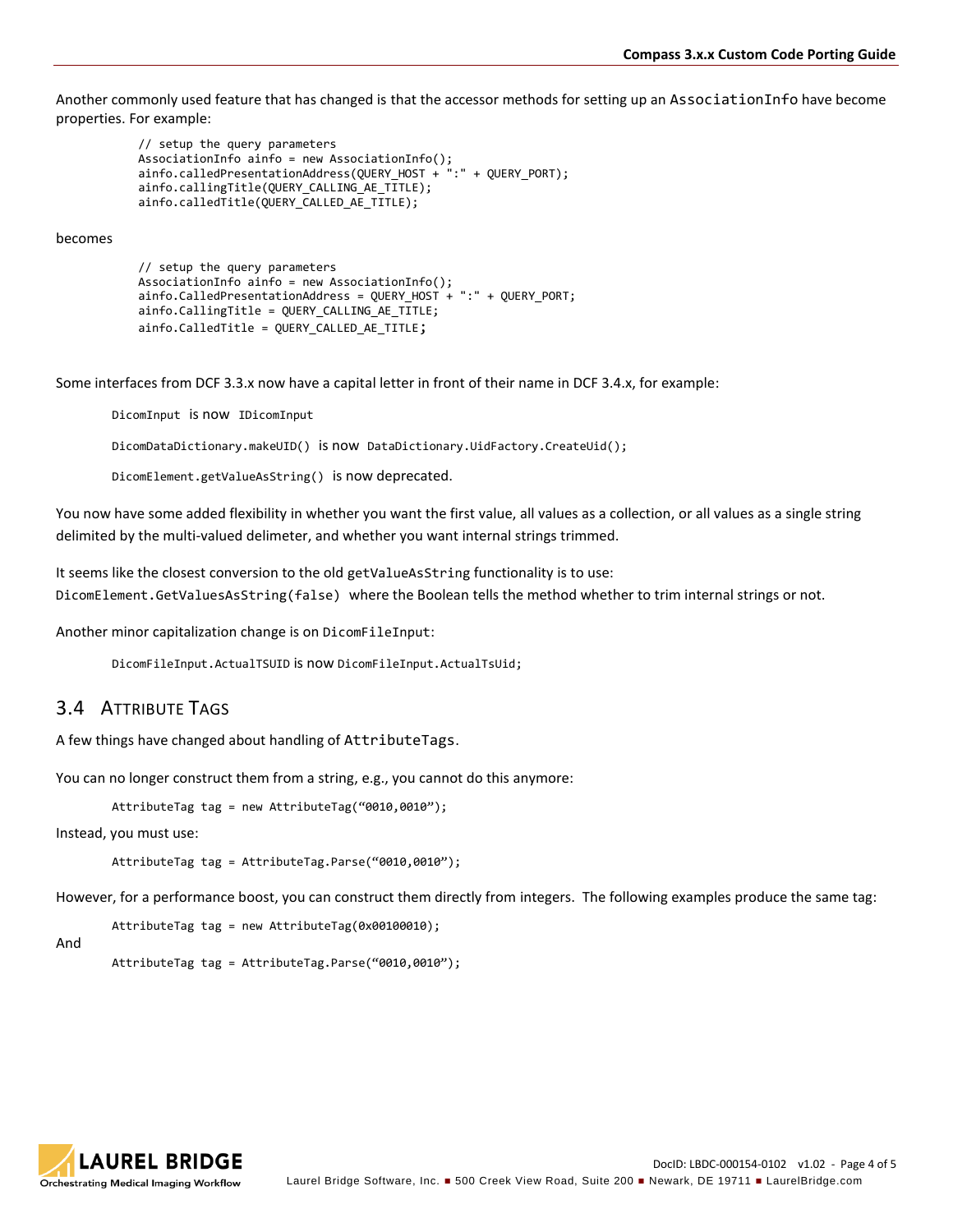Another commonly used feature that has changed is that the accessor methods for setting up an AssociationInfo have become properties. For example:

```
 // setup the query parameters
 AssociationInfo ainfo = new AssociationInfo();
 ainfo.calledPresentationAddress(QUERY_HOST + ":" + QUERY_PORT);
           ainfo.callingTitle(QUERY_CALLING_AE_TITLE);
           ainfo.calledTitle(QUERY_CALLED_AE_TITLE);
```
becomes

```
 // setup the query parameters
 AssociationInfo ainfo = new AssociationInfo();
 ainfo.CalledPresentationAddress = QUERY_HOST + ":" + QUERY_PORT;
 ainfo.CallingTitle = QUERY_CALLING_AE_TITLE;
ainfo.CalledTitle = QUERY CALLED AE TITLE;
```
Some interfaces from DCF 3.3.x now have a capital letter in front of their name in DCF 3.4.x, for example:

DicomInput is now IDicomInput DicomDataDictionary.makeUID() is now DataDictionary.UidFactory.CreateUid(); DicomElement.getValueAsString() is now deprecated.

You now have some added flexibility in whether you want the first value, all values as a collection, or all values as a single string delimited by the multi-valued delimeter, and whether you want internal strings trimmed.

It seems like the closest conversion to the old getValueAsString functionality is to use: DicomElement.GetValuesAsString(false) where the Boolean tells the method whether to trim internal strings or not.

Another minor capitalization change is on DicomFileInput:

DicomFileInput.ActualTSUID is now DicomFileInput.ActualTsUid;

### 3.4 ATTRIBUTE TAGS

A few things have changed about handling of AttributeTags.

You can no longer construct them from a string, e.g., you cannot do this anymore:

```
AttributeTag tag = new AttributeTag("0010,0010");
```
Instead, you must use:

```
AttributeTag tag = AttributeTag.Parse("0010,0010");
```
However, for a performance boost, you can construct them directly from integers. The following examples produce the same tag:

AttributeTag tag = new AttributeTag(0x00100010);

And

AttributeTag tag = AttributeTag.Parse("0010,0010");